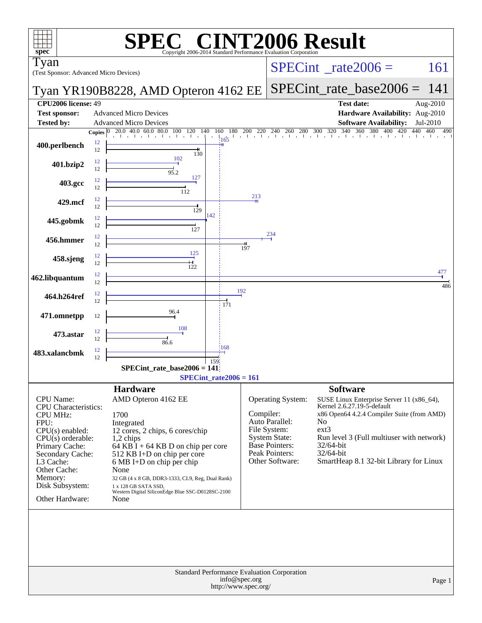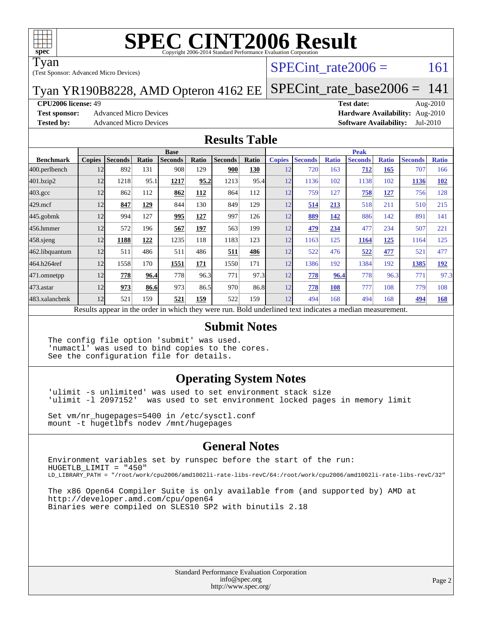

Tyan

(Test Sponsor: Advanced Micro Devices)

### SPECint rate $2006 = 161$

#### Tyan YR190B8228, AMD Opteron 4162 EE [SPECint\\_rate\\_base2006 =](http://www.spec.org/auto/cpu2006/Docs/result-fields.html#SPECintratebase2006) 141

#### **[CPU2006 license:](http://www.spec.org/auto/cpu2006/Docs/result-fields.html#CPU2006license)** 49 **[Test date:](http://www.spec.org/auto/cpu2006/Docs/result-fields.html#Testdate)** Aug-2010

**[Test sponsor:](http://www.spec.org/auto/cpu2006/Docs/result-fields.html#Testsponsor)** Advanced Micro Devices **Advanced Micro Devices [Hardware Availability:](http://www.spec.org/auto/cpu2006/Docs/result-fields.html#HardwareAvailability)** Aug-2010

**[Tested by:](http://www.spec.org/auto/cpu2006/Docs/result-fields.html#Testedby)** Advanced Micro Devices **[Software Availability:](http://www.spec.org/auto/cpu2006/Docs/result-fields.html#SoftwareAvailability)** Jul-2010

#### **[Results Table](http://www.spec.org/auto/cpu2006/Docs/result-fields.html#ResultsTable)**

|                                                                                                          | <b>Base</b>   |                |              |                |       |                |       | <b>Peak</b>   |                |              |                |              |                |              |
|----------------------------------------------------------------------------------------------------------|---------------|----------------|--------------|----------------|-------|----------------|-------|---------------|----------------|--------------|----------------|--------------|----------------|--------------|
| <b>Benchmark</b>                                                                                         | <b>Copies</b> | <b>Seconds</b> | <b>Ratio</b> | <b>Seconds</b> | Ratio | <b>Seconds</b> | Ratio | <b>Copies</b> | <b>Seconds</b> | <b>Ratio</b> | <b>Seconds</b> | <b>Ratio</b> | <b>Seconds</b> | <b>Ratio</b> |
| 400.perlbench                                                                                            | 12            | 892            | 131          | 908            | 129   | 900            | 130   | 12            | 720            | 163          | 712            | 165          | 707            | 166          |
| 401.bzip2                                                                                                | 12            | 1218           | 95.1         | 1217           | 95.2  | 1213           | 95.4  | 12            | 1136           | 102          | 1138           | 102          | 1136           | 102          |
| $403.\mathrm{gcc}$                                                                                       | 12            | 862            | 112          | 862            | 112   | 864            | 112   | 12            | 759            | 127          | 758            | 127          | 756            | 128          |
| $429$ .mcf                                                                                               | 12            | 847            | 129          | 844            | 130   | 849            | 129   | 12            | 514            | 213          | 518            | 211          | 510            | 215          |
| $445$ .gobm $k$                                                                                          | 12            | 994            | 127          | 995            | 127   | 997            | 126   | 12            | 889            | 142          | 886            | 142          | 891            | 141          |
| 456.hmmer                                                                                                | 12            | 572            | 196          | 567            | 197   | 563            | 199   | 12            | 479            | 234          | 477            | 234          | 507            | 221          |
| $458$ .sjeng                                                                                             | 12            | 1188           | 122          | 1235           | 118   | 1183           | 123   | 12            | 1163           | 125          | 1164           | 125          | 1164           | 125          |
| 462.libquantum                                                                                           | 12            | 511            | 486          | 511            | 486   | 511            | 486   | 12            | 522            | 476          | 522            | 477          | 521            | 477          |
| 464.h264ref                                                                                              | 12            | 1558           | 170          | 1551           | 171   | 1550           | 171   | 12            | 1386           | 192          | 1384           | 192          | 1385           | <u>192</u>   |
| 471.omnetpp                                                                                              | 12            | 778            | 96.4         | 778            | 96.3  | 771            | 97.3  | 12            | 778            | 96.4         | 778            | 96.3         | 771            | 97.3         |
| 473.astar                                                                                                | 12            | 973            | 86.6         | 973            | 86.5  | 970            | 86.8  | 12            | 778            | 108          | 777            | 108          | 779            | 108          |
| 483.xalancbmk                                                                                            | 12            | 521            | 159          | 521            | 159   | 522            | 159   | 12            | 494            | 168          | 494            | 168          | 494            | 168          |
| Results appear in the order in which they were run. Bold underlined text indicates a median measurement. |               |                |              |                |       |                |       |               |                |              |                |              |                |              |

#### **[Submit Notes](http://www.spec.org/auto/cpu2006/Docs/result-fields.html#SubmitNotes)**

The config file option 'submit' was used. 'numactl' was used to bind copies to the cores. See the configuration file for details.

#### **[Operating System Notes](http://www.spec.org/auto/cpu2006/Docs/result-fields.html#OperatingSystemNotes)**

'ulimit -s unlimited' was used to set environment stack size 'ulimit -l 2097152' was used to set environment locked pages in memory limit

Set vm/nr\_hugepages=5400 in /etc/sysctl.conf mount -t hugetlbfs nodev /mnt/hugepages

#### **[General Notes](http://www.spec.org/auto/cpu2006/Docs/result-fields.html#GeneralNotes)**

Environment variables set by runspec before the start of the run: HUGETLB\_LIMIT = "450" LD\_LIBRARY\_PATH = "/root/work/cpu2006/amd1002li-rate-libs-revC/64:/root/work/cpu2006/amd1002li-rate-libs-revC/32"

The x86 Open64 Compiler Suite is only available from (and supported by) AMD at <http://developer.amd.com/cpu/open64> Binaries were compiled on SLES10 SP2 with binutils 2.18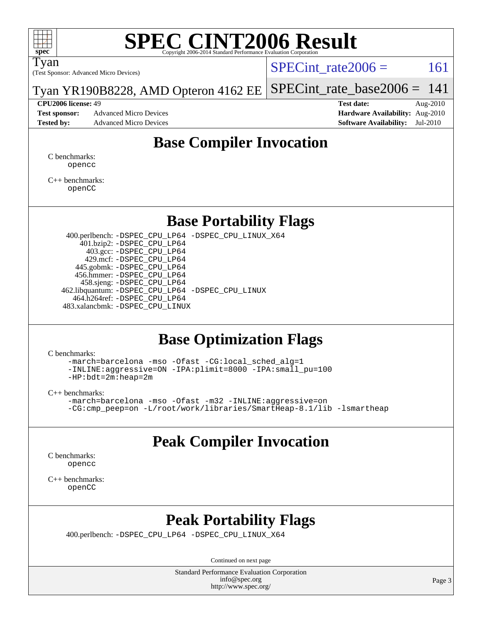

Tyan

(Test Sponsor: Advanced Micro Devices)

SPECint rate $2006 = 161$ 

Tyan YR190B8228, AMD Opteron 4162 EE [SPECint\\_rate\\_base2006 =](http://www.spec.org/auto/cpu2006/Docs/result-fields.html#SPECintratebase2006)  $141$ 

**[Test sponsor:](http://www.spec.org/auto/cpu2006/Docs/result-fields.html#Testsponsor)** Advanced Micro Devices **Advanced Micro Devices [Hardware Availability:](http://www.spec.org/auto/cpu2006/Docs/result-fields.html#HardwareAvailability)** Aug-2010 **[Tested by:](http://www.spec.org/auto/cpu2006/Docs/result-fields.html#Testedby)** Advanced Micro Devices **[Software Availability:](http://www.spec.org/auto/cpu2006/Docs/result-fields.html#SoftwareAvailability)** Jul-2010

**[CPU2006 license:](http://www.spec.org/auto/cpu2006/Docs/result-fields.html#CPU2006license)** 49 **[Test date:](http://www.spec.org/auto/cpu2006/Docs/result-fields.html#Testdate)** Aug-2010

### **[Base Compiler Invocation](http://www.spec.org/auto/cpu2006/Docs/result-fields.html#BaseCompilerInvocation)**

[C benchmarks](http://www.spec.org/auto/cpu2006/Docs/result-fields.html#Cbenchmarks): [opencc](http://www.spec.org/cpu2006/results/res2010q3/cpu2006-20100816-12937.flags.html#user_CCbase_Fopencc)

[C++ benchmarks:](http://www.spec.org/auto/cpu2006/Docs/result-fields.html#CXXbenchmarks) [openCC](http://www.spec.org/cpu2006/results/res2010q3/cpu2006-20100816-12937.flags.html#user_CXXbase_FopenCC)

### **[Base Portability Flags](http://www.spec.org/auto/cpu2006/Docs/result-fields.html#BasePortabilityFlags)**

 400.perlbench: [-DSPEC\\_CPU\\_LP64](http://www.spec.org/cpu2006/results/res2010q3/cpu2006-20100816-12937.flags.html#b400.perlbench_basePORTABILITY_DSPEC_CPU_LP64) [-DSPEC\\_CPU\\_LINUX\\_X64](http://www.spec.org/cpu2006/results/res2010q3/cpu2006-20100816-12937.flags.html#b400.perlbench_baseCPORTABILITY_DSPEC_CPU_LINUX_X64) 401.bzip2: [-DSPEC\\_CPU\\_LP64](http://www.spec.org/cpu2006/results/res2010q3/cpu2006-20100816-12937.flags.html#suite_basePORTABILITY401_bzip2_DSPEC_CPU_LP64) 403.gcc: [-DSPEC\\_CPU\\_LP64](http://www.spec.org/cpu2006/results/res2010q3/cpu2006-20100816-12937.flags.html#suite_basePORTABILITY403_gcc_DSPEC_CPU_LP64) 429.mcf: [-DSPEC\\_CPU\\_LP64](http://www.spec.org/cpu2006/results/res2010q3/cpu2006-20100816-12937.flags.html#suite_basePORTABILITY429_mcf_DSPEC_CPU_LP64) 445.gobmk: [-DSPEC\\_CPU\\_LP64](http://www.spec.org/cpu2006/results/res2010q3/cpu2006-20100816-12937.flags.html#suite_basePORTABILITY445_gobmk_DSPEC_CPU_LP64) 456.hmmer: [-DSPEC\\_CPU\\_LP64](http://www.spec.org/cpu2006/results/res2010q3/cpu2006-20100816-12937.flags.html#suite_basePORTABILITY456_hmmer_DSPEC_CPU_LP64) 458.sjeng: [-DSPEC\\_CPU\\_LP64](http://www.spec.org/cpu2006/results/res2010q3/cpu2006-20100816-12937.flags.html#suite_basePORTABILITY458_sjeng_DSPEC_CPU_LP64) 462.libquantum: [-DSPEC\\_CPU\\_LP64](http://www.spec.org/cpu2006/results/res2010q3/cpu2006-20100816-12937.flags.html#suite_basePORTABILITY462_libquantum_DSPEC_CPU_LP64) [-DSPEC\\_CPU\\_LINUX](http://www.spec.org/cpu2006/results/res2010q3/cpu2006-20100816-12937.flags.html#b462.libquantum_baseCPORTABILITY_DSPEC_CPU_LINUX) 464.h264ref: [-DSPEC\\_CPU\\_LP64](http://www.spec.org/cpu2006/results/res2010q3/cpu2006-20100816-12937.flags.html#suite_basePORTABILITY464_h264ref_DSPEC_CPU_LP64) 483.xalancbmk: [-DSPEC\\_CPU\\_LINUX](http://www.spec.org/cpu2006/results/res2010q3/cpu2006-20100816-12937.flags.html#b483.xalancbmk_baseCXXPORTABILITY_DSPEC_CPU_LINUX)

### **[Base Optimization Flags](http://www.spec.org/auto/cpu2006/Docs/result-fields.html#BaseOptimizationFlags)**

[C benchmarks](http://www.spec.org/auto/cpu2006/Docs/result-fields.html#Cbenchmarks):

[-march=barcelona](http://www.spec.org/cpu2006/results/res2010q3/cpu2006-20100816-12937.flags.html#user_CCbase_F-march_8ea39521cada96f307a04d0b8b9c6ffb) [-mso](http://www.spec.org/cpu2006/results/res2010q3/cpu2006-20100816-12937.flags.html#user_CCbase_F-mso) [-Ofast](http://www.spec.org/cpu2006/results/res2010q3/cpu2006-20100816-12937.flags.html#user_CCbase_F-Ofast) [-CG:local\\_sched\\_alg=1](http://www.spec.org/cpu2006/results/res2010q3/cpu2006-20100816-12937.flags.html#user_CCbase_F-CG:local_sched_alg_2175ca61f1a2717f1ec57b14995b9e7a) [-INLINE:aggressive=ON](http://www.spec.org/cpu2006/results/res2010q3/cpu2006-20100816-12937.flags.html#user_CCbase_F-INLINE:aggressive_1968a21fda3b9e485676870015f71302) [-IPA:plimit=8000](http://www.spec.org/cpu2006/results/res2010q3/cpu2006-20100816-12937.flags.html#user_CCbase_F-IPA:plimit_92cba83f3d47f09c7d5368fda93ddbd7) [-IPA:small\\_pu=100](http://www.spec.org/cpu2006/results/res2010q3/cpu2006-20100816-12937.flags.html#user_CCbase_F-IPA:small_pu_900a09767c6929d55c26ea3d32399996) [-HP:bdt=2m:heap=2m](http://www.spec.org/cpu2006/results/res2010q3/cpu2006-20100816-12937.flags.html#user_CCbase_F-HUGEPAGE_855e97383b49831f390a2af16fe7202f)

[C++ benchmarks:](http://www.spec.org/auto/cpu2006/Docs/result-fields.html#CXXbenchmarks)

```
-march=barcelona -mso -Ofast -m32 -INLINE:aggressive=on
-CG:cmp_peep=on -L/root/work/libraries/SmartHeap-8.1/lib -lsmartheap
```
### **[Peak Compiler Invocation](http://www.spec.org/auto/cpu2006/Docs/result-fields.html#PeakCompilerInvocation)**

[C benchmarks](http://www.spec.org/auto/cpu2006/Docs/result-fields.html#Cbenchmarks): [opencc](http://www.spec.org/cpu2006/results/res2010q3/cpu2006-20100816-12937.flags.html#user_CCpeak_Fopencc)

[C++ benchmarks:](http://www.spec.org/auto/cpu2006/Docs/result-fields.html#CXXbenchmarks) [openCC](http://www.spec.org/cpu2006/results/res2010q3/cpu2006-20100816-12937.flags.html#user_CXXpeak_FopenCC)

### **[Peak Portability Flags](http://www.spec.org/auto/cpu2006/Docs/result-fields.html#PeakPortabilityFlags)**

400.perlbench: [-DSPEC\\_CPU\\_LP64](http://www.spec.org/cpu2006/results/res2010q3/cpu2006-20100816-12937.flags.html#b400.perlbench_peakPORTABILITY_DSPEC_CPU_LP64) [-DSPEC\\_CPU\\_LINUX\\_X64](http://www.spec.org/cpu2006/results/res2010q3/cpu2006-20100816-12937.flags.html#b400.perlbench_peakCPORTABILITY_DSPEC_CPU_LINUX_X64)

Continued on next page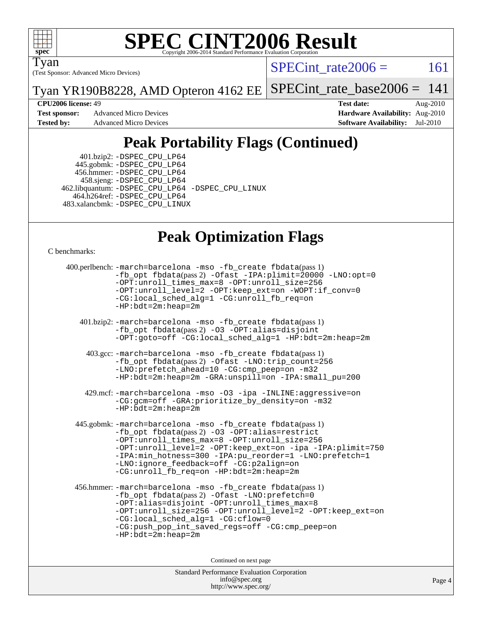

Tyan

(Test Sponsor: Advanced Micro Devices)

 $SPECTnt_rate2006 = 161$ 

Tyan YR190B8228, AMD Opteron 4162 EE [SPECint\\_rate\\_base2006 =](http://www.spec.org/auto/cpu2006/Docs/result-fields.html#SPECintratebase2006)  $141$ 

**[Test sponsor:](http://www.spec.org/auto/cpu2006/Docs/result-fields.html#Testsponsor)** Advanced Micro Devices **Advanced Micro Devices [Hardware Availability:](http://www.spec.org/auto/cpu2006/Docs/result-fields.html#HardwareAvailability)** Aug-2010

**[CPU2006 license:](http://www.spec.org/auto/cpu2006/Docs/result-fields.html#CPU2006license)** 49 **[Test date:](http://www.spec.org/auto/cpu2006/Docs/result-fields.html#Testdate)** Aug-2010 **[Tested by:](http://www.spec.org/auto/cpu2006/Docs/result-fields.html#Testedby)** Advanced Micro Devices **[Software Availability:](http://www.spec.org/auto/cpu2006/Docs/result-fields.html#SoftwareAvailability)** Jul-2010

## **[Peak Portability Flags \(Continued\)](http://www.spec.org/auto/cpu2006/Docs/result-fields.html#PeakPortabilityFlags)**

 401.bzip2: [-DSPEC\\_CPU\\_LP64](http://www.spec.org/cpu2006/results/res2010q3/cpu2006-20100816-12937.flags.html#suite_peakPORTABILITY401_bzip2_DSPEC_CPU_LP64) 445.gobmk: [-DSPEC\\_CPU\\_LP64](http://www.spec.org/cpu2006/results/res2010q3/cpu2006-20100816-12937.flags.html#suite_peakPORTABILITY445_gobmk_DSPEC_CPU_LP64) 456.hmmer: [-DSPEC\\_CPU\\_LP64](http://www.spec.org/cpu2006/results/res2010q3/cpu2006-20100816-12937.flags.html#suite_peakPORTABILITY456_hmmer_DSPEC_CPU_LP64) 458.sjeng: [-DSPEC\\_CPU\\_LP64](http://www.spec.org/cpu2006/results/res2010q3/cpu2006-20100816-12937.flags.html#suite_peakPORTABILITY458_sjeng_DSPEC_CPU_LP64) 462.libquantum: [-DSPEC\\_CPU\\_LP64](http://www.spec.org/cpu2006/results/res2010q3/cpu2006-20100816-12937.flags.html#suite_peakPORTABILITY462_libquantum_DSPEC_CPU_LP64) [-DSPEC\\_CPU\\_LINUX](http://www.spec.org/cpu2006/results/res2010q3/cpu2006-20100816-12937.flags.html#b462.libquantum_peakCPORTABILITY_DSPEC_CPU_LINUX) 464.h264ref: [-DSPEC\\_CPU\\_LP64](http://www.spec.org/cpu2006/results/res2010q3/cpu2006-20100816-12937.flags.html#suite_peakPORTABILITY464_h264ref_DSPEC_CPU_LP64) 483.xalancbmk: [-DSPEC\\_CPU\\_LINUX](http://www.spec.org/cpu2006/results/res2010q3/cpu2006-20100816-12937.flags.html#b483.xalancbmk_peakCXXPORTABILITY_DSPEC_CPU_LINUX)

## **[Peak Optimization Flags](http://www.spec.org/auto/cpu2006/Docs/result-fields.html#PeakOptimizationFlags)**

[C benchmarks](http://www.spec.org/auto/cpu2006/Docs/result-fields.html#Cbenchmarks):

```
 400.perlbench: -march=barcelona -mso -fb_create fbdata(pass 1)
           -fb_opt fbdata(pass 2) -Ofast -IPA:plimit=20000 -LNO:opt=0
           -OPT:unroll_times_max=8 -OPT:unroll_size=256
           -OPT:unroll_level=2 -OPT:keep_ext=on -WOPT:if_conv=0
           -CG:local_sched_alg=1 -CG:unroll_fb_req=on
           -HP:bdt=2m:heap=2m
    401.bzip2: -march=barcelona -mso -fb_create fbdata(pass 1)
           -fb_opt fbdata(pass 2) -O3 -OPT:alias=disjoint
           -OPT:goto=off -CG:local_sched_alg=1 -HP:bdt=2m:heap=2m
     403.gcc: -march=barcelona -mso -fb_create fbdata(pass 1)
           -fb_opt fbdata(pass 2) -Ofast -LNO:trip_count=256
           -LNO:prefetch_ahead=10 -CG:cmp_peep=on -m32
           -HP:bdt=2m:heap=2m -GRA:unspill=on -IPA:small_pu=200
     429.mcf: -march=barcelona -mso -O3 -ipa -INLINE:aggressive=on
           -CG:gcm=off -GRA:prioritize_by_density=on -m32
          -HP:bdt=2m:heap=2m
  445.gobmk: -march=barcelona -mso -fb_create fbdata(pass 1)
           -fb_opt fbdata(pass 2) -O3 -OPT:alias=restrict
           -OPT:unroll_times_max=8 -OPT:unroll_size=256
           -OPT:unroll_level=2 -OPT:keep_ext=on -ipa -IPA:plimit=750
           -IPA:min_hotness=300-IPA:pu_reorder=1-LNO:prefetch=1
           -LNO:ignore_feedback=off -CG:p2align=on
           -CG:unroll_fb_req=on -HP:bdt=2m:heap=2m
  456.hmmer: -march=barcelona -mso -fb_create fbdata(pass 1)
           -fb_opt fbdata(pass 2) -Ofast -LNO:prefetch=0
           -OPT:alias=disjoint -OPT:unroll_times_max=8
           -OPT:unroll_size=256 -OPT:unroll_level=2 -OPT:keep_ext=on
           -CG:local_sched_alg=1 -CG:cflow=0
           -CG:push_pop_int_saved_regs=off -CG:cmp_peep=on
           -HP:bdt=2m:heap=2m
                                Continued on next page
```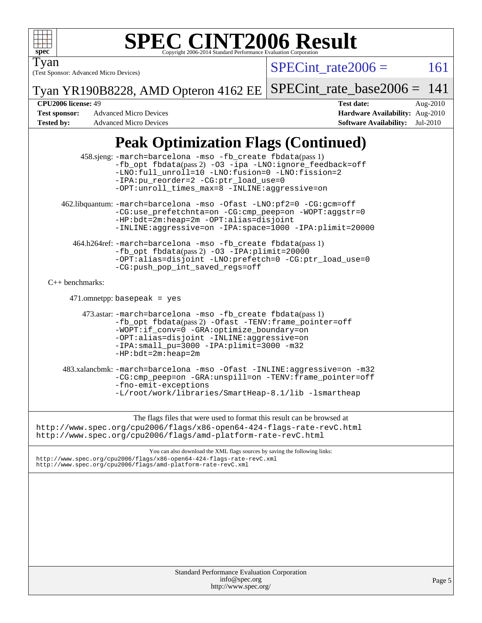

(Test Sponsor: Advanced Micro Devices) Tyan

 $SPECTnt_rate2006 = 161$ 

Tyan YR190B8228, AMD Opteron 4162 EE [SPECint\\_rate\\_base2006 =](http://www.spec.org/auto/cpu2006/Docs/result-fields.html#SPECintratebase2006) 141

**[Tested by:](http://www.spec.org/auto/cpu2006/Docs/result-fields.html#Testedby)** Advanced Micro Devices **[Software Availability:](http://www.spec.org/auto/cpu2006/Docs/result-fields.html#SoftwareAvailability)** Jul-2010

**[CPU2006 license:](http://www.spec.org/auto/cpu2006/Docs/result-fields.html#CPU2006license)** 49 **[Test date:](http://www.spec.org/auto/cpu2006/Docs/result-fields.html#Testdate)** Aug-2010 **[Test sponsor:](http://www.spec.org/auto/cpu2006/Docs/result-fields.html#Testsponsor)** Advanced Micro Devices **[Hardware Availability:](http://www.spec.org/auto/cpu2006/Docs/result-fields.html#HardwareAvailability)** Aug-2010

## **[Peak Optimization Flags \(Continued\)](http://www.spec.org/auto/cpu2006/Docs/result-fields.html#PeakOptimizationFlags)**

| 458.sjeng: -march=barcelona -mso -fb_create fbdata(pass 1)<br>-fb_opt fbdata(pass 2) -03 -ipa -LNO:ignore_feedback=off<br>-LNO:full_unroll=10 -LNO:fusion=0 -LNO:fission=2<br>-IPA:pu_reorder=2 -CG:ptr_load_use=0<br>-OPT:unroll_times_max=8 -INLINE:aggressive=on<br>462.libquantum: -march=barcelona -mso -Ofast -LNO:pf2=0 -CG:gcm=off |        |
|--------------------------------------------------------------------------------------------------------------------------------------------------------------------------------------------------------------------------------------------------------------------------------------------------------------------------------------------|--------|
| -CG:use_prefetchnta=on -CG:cmp_peep=on -WOPT:aggstr=0<br>-HP:bdt=2m:heap=2m -OPT:alias=disjoint<br>-INLINE:aggressive=on -IPA:space=1000 -IPA:plimit=20000                                                                                                                                                                                 |        |
| 464.h264ref: -march=barcelona -mso -fb_create fbdata(pass 1)<br>$-fb\_{opt}$ fbdata(pass 2) -03 -IPA: plimit=20000<br>-OPT:alias=disjoint -LNO:prefetch=0 -CG:ptr_load_use=0<br>-CG:push_pop_int_saved_regs=off                                                                                                                            |        |
| $C++$ benchmarks:                                                                                                                                                                                                                                                                                                                          |        |
| $471.$ omnetpp: basepeak = yes                                                                                                                                                                                                                                                                                                             |        |
| 473.astar: -march=barcelona -mso -fb_create fbdata(pass 1)<br>-fb_opt fbdata(pass 2) -Ofast -TENV: frame_pointer=off<br>-WOPT:if_conv=0 -GRA:optimize_boundary=on<br>-OPT:alias=disjoint -INLINE:aggressive=on<br>-IPA: small_pu=3000 -IPA: plimit=3000 -m32<br>$-HP:bdt=2m:heap=2m$                                                       |        |
| 483.xalancbmk: -march=barcelona -mso -Ofast -INLINE:aggressive=on -m32<br>-CG:cmp_peep=on -GRA:unspill=on -TENV:frame_pointer=off<br>-fno-emit-exceptions<br>$-L$ /root/work/libraries/SmartHeap-8.1/lib -lsmartheap                                                                                                                       |        |
| The flags files that were used to format this result can be browsed at<br>http://www.spec.org/cpu2006/flags/x86-open64-424-flags-rate-revC.html<br>http://www.spec.org/cpu2006/flags/amd-platform-rate-revC.html                                                                                                                           |        |
| You can also download the XML flags sources by saving the following links:<br>http://www.spec.org/cpu2006/flags/x86-open64-424-flags-rate-revC.xml<br>http://www.spec.org/cpu2006/flags/amd-platform-rate-revC.xml                                                                                                                         |        |
|                                                                                                                                                                                                                                                                                                                                            |        |
| <b>Standard Performance Evaluation Corporation</b><br>info@spec.org<br>http://www.spec.org/                                                                                                                                                                                                                                                | Page 5 |